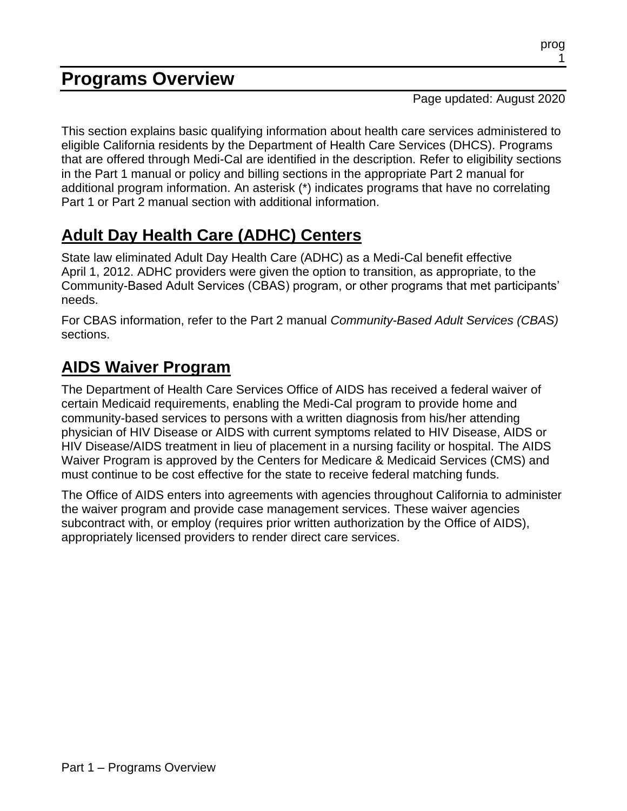## **Programs Overview**

Page updated: August 2020

This section explains basic qualifying information about health care services administered to eligible California residents by the Department of Health Care Services (DHCS). Programs that are offered through Medi-Cal are identified in the description. Refer to eligibility sections in the Part 1 manual or policy and billing sections in the appropriate Part 2 manual for additional program information. An asterisk [\(\\*\)](#page-15-0) indicates programs that have no correlating Part 1 or Part 2 manual section with additional information.

# **Adult Day Health Care (ADHC) Centers**

State law eliminated Adult Day Health Care (ADHC) as a Medi-Cal benefit effective April 1, 2012. ADHC providers were given the option to transition, as appropriate, to the Community-Based Adult Services (CBAS) program, or other programs that met participants' needs.

For CBAS information, refer to the Part 2 manual *Community-Based Adult Services (CBAS)* sections.

## **AIDS Waiver Program**

The Department of Health Care Services Office of AIDS has received a federal waiver of certain Medicaid requirements, enabling the Medi-Cal program to provide home and community-based services to persons with a written diagnosis from his/her attending physician of HIV Disease or AIDS with current symptoms related to HIV Disease, AIDS or HIV Disease/AIDS treatment in lieu of placement in a nursing facility or hospital. The AIDS Waiver Program is approved by the Centers for Medicare & Medicaid Services (CMS) and must continue to be cost effective for the state to receive federal matching funds.

The Office of AIDS enters into agreements with agencies throughout California to administer the waiver program and provide case management services. These waiver agencies subcontract with, or employ (requires prior written authorization by the Office of AIDS), appropriately licensed providers to render direct care services.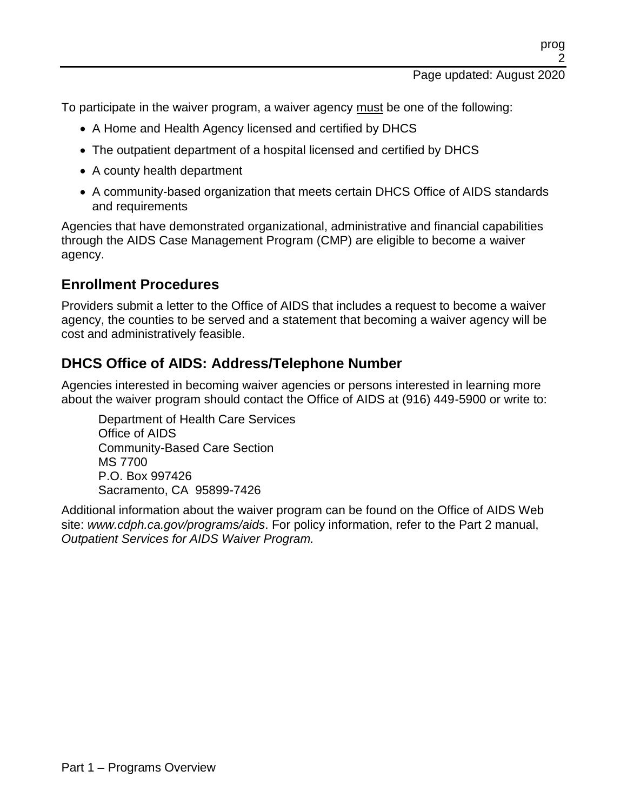To participate in the waiver program, a waiver agency must be one of the following:

- A Home and Health Agency licensed and certified by DHCS
- The outpatient department of a hospital licensed and certified by DHCS
- A county health department
- A community-based organization that meets certain DHCS Office of AIDS standards and requirements

Agencies that have demonstrated organizational, administrative and financial capabilities through the AIDS Case Management Program (CMP) are eligible to become a waiver agency.

#### **Enrollment Procedures**

Providers submit a letter to the Office of AIDS that includes a request to become a waiver agency, the counties to be served and a statement that becoming a waiver agency will be cost and administratively feasible.

#### **DHCS Office of AIDS: Address/Telephone Number**

Agencies interested in becoming waiver agencies or persons interested in learning more about the waiver program should contact the Office of AIDS at (916) 449-5900 or write to:

Department of Health Care Services Office of AIDS Community-Based Care Section MS 7700 P.O. Box 997426 Sacramento, CA 95899-7426

Additional information about the waiver program can be found on the Office of AIDS Web site: *www.cdph.ca.gov/programs/aids*. For policy information, refer to the Part 2 manual, *Outpatient Services for AIDS Waiver Program.*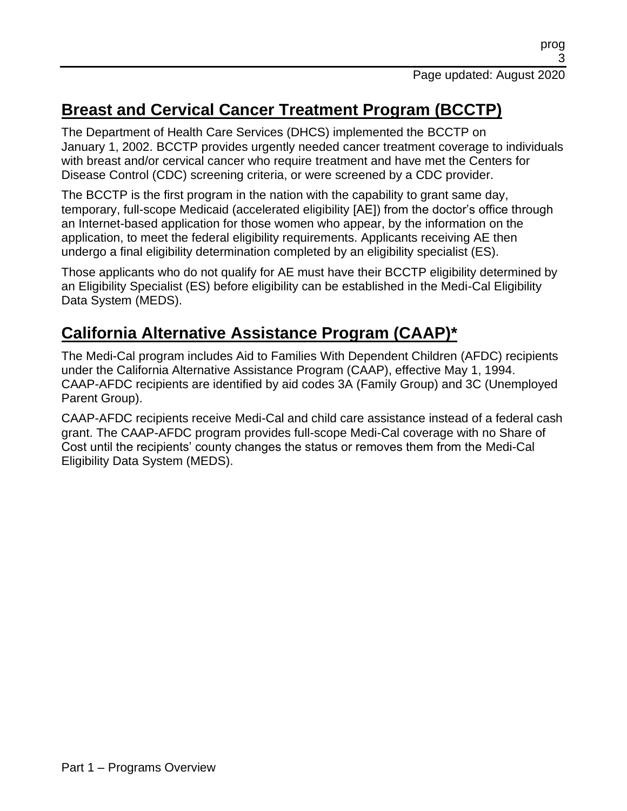## **Breast and Cervical Cancer Treatment Program (BCCTP)**

The Department of Health Care Services (DHCS) implemented the BCCTP on January 1, 2002. BCCTP provides urgently needed cancer treatment coverage to individuals with breast and/or cervical cancer who require treatment and have met the Centers for Disease Control (CDC) screening criteria, or were screened by a CDC provider.

The BCCTP is the first program in the nation with the capability to grant same day, temporary, full-scope Medicaid (accelerated eligibility [AE]) from the doctor's office through an Internet-based application for those women who appear, by the information on the application, to meet the federal eligibility requirements. Applicants receiving AE then undergo a final eligibility determination completed by an eligibility specialist (ES).

Those applicants who do not qualify for AE must have their BCCTP eligibility determined by an Eligibility Specialist (ES) before eligibility can be established in the Medi-Cal Eligibility Data System (MEDS).

#### **California Alternative Assistance Program (CAAP[\)\\*](#page-15-0)**

The Medi-Cal program includes Aid to Families With Dependent Children (AFDC) recipients under the California Alternative Assistance Program (CAAP), effective May 1, 1994. CAAP-AFDC recipients are identified by aid codes 3A (Family Group) and 3C (Unemployed Parent Group).

CAAP-AFDC recipients receive Medi-Cal and child care assistance instead of a federal cash grant. The CAAP-AFDC program provides full-scope Medi-Cal coverage with no Share of Cost until the recipients' county changes the status or removes them from the Medi-Cal Eligibility Data System (MEDS).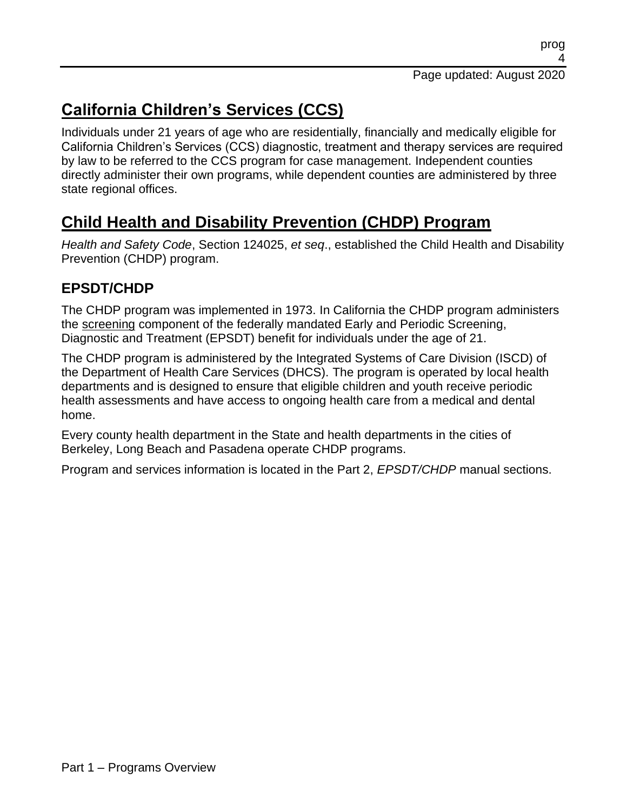# **California Children's Services (CCS)**

Individuals under 21 years of age who are residentially, financially and medically eligible for California Children's Services (CCS) diagnostic, treatment and therapy services are required by law to be referred to the CCS program for case management. Independent counties directly administer their own programs, while dependent counties are administered by three state regional offices.

## **Child Health and Disability Prevention (CHDP) Program**

*Health and Safety Code*, Section 124025, *et seq*., established the Child Health and Disability Prevention (CHDP) program.

#### **EPSDT/CHDP**

The CHDP program was implemented in 1973. In California the CHDP program administers the screening component of the federally mandated Early and Periodic Screening, Diagnostic and Treatment (EPSDT) benefit for individuals under the age of 21.

The CHDP program is administered by the Integrated Systems of Care Division (ISCD) of the Department of Health Care Services (DHCS). The program is operated by local health departments and is designed to ensure that eligible children and youth receive periodic health assessments and have access to ongoing health care from a medical and dental home.

Every county health department in the State and health departments in the cities of Berkeley, Long Beach and Pasadena operate CHDP programs.

Program and services information is located in the Part 2, *EPSDT/CHDP* manual sections.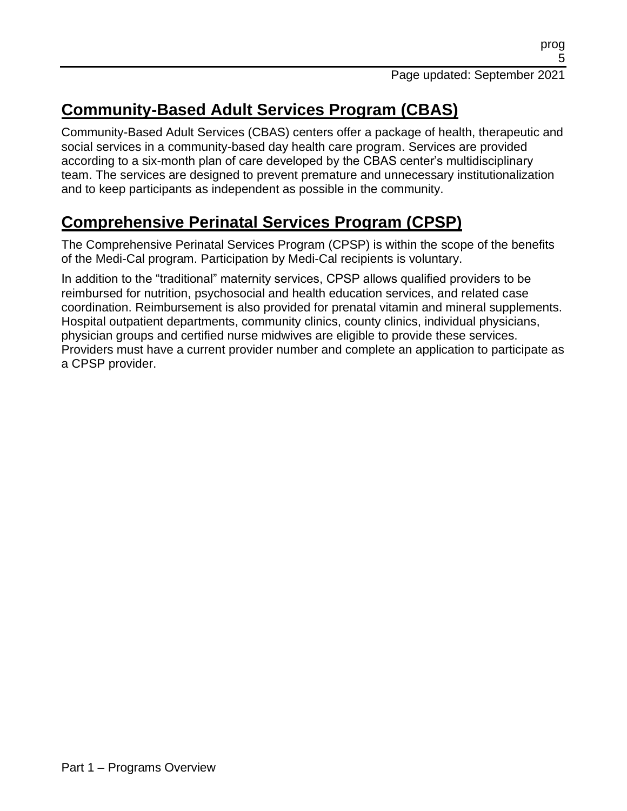## **Community-Based Adult Services Program (CBAS)**

Community-Based Adult Services (CBAS) centers offer a package of health, therapeutic and social services in a community-based day health care program. Services are provided according to a six-month plan of care developed by the CBAS center's multidisciplinary team. The services are designed to prevent premature and unnecessary institutionalization and to keep participants as independent as possible in the community.

## **Comprehensive Perinatal Services Program (CPSP)**

The Comprehensive Perinatal Services Program (CPSP) is within the scope of the benefits of the Medi-Cal program. Participation by Medi-Cal recipients is voluntary.

In addition to the "traditional" maternity services, CPSP allows qualified providers to be reimbursed for nutrition, psychosocial and health education services, and related case coordination. Reimbursement is also provided for prenatal vitamin and mineral supplements. Hospital outpatient departments, community clinics, county clinics, individual physicians, physician groups and certified nurse midwives are eligible to provide these services. Providers must have a current provider number and complete an application to participate as a CPSP provider.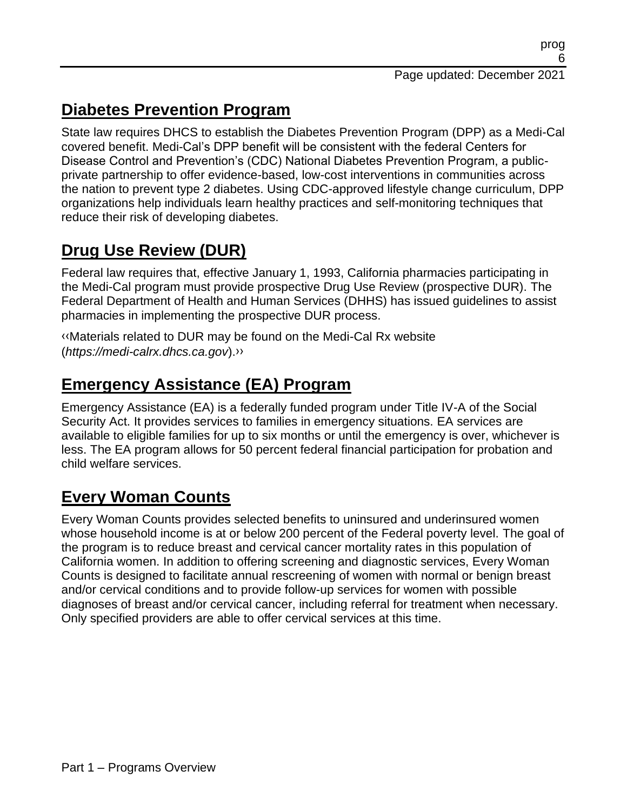## **Diabetes Prevention Program**

State law requires DHCS to establish the Diabetes Prevention Program (DPP) as a Medi-Cal covered benefit. Medi-Cal's DPP benefit will be consistent with the federal Centers for Disease Control and Prevention's (CDC) National Diabetes Prevention Program, a publicprivate partnership to offer evidence-based, low-cost interventions in communities across the nation to prevent type 2 diabetes. Using CDC-approved lifestyle change curriculum, DPP organizations help individuals learn healthy practices and self-monitoring techniques that reduce their risk of developing diabetes.

## **Drug Use Review (DUR)**

Federal law requires that, effective January 1, 1993, California pharmacies participating in the Medi-Cal program must provide prospective Drug Use Review (prospective DUR). The Federal Department of Health and Human Services (DHHS) has issued guidelines to assist pharmacies in implementing the prospective DUR process.

[‹‹M](#page-15-1)aterials related to DUR may be found on the Medi-Cal Rx website (*https://medi-calrx.dhcs.ca.gov*)[.››](#page-15-2)

#### **Emergency Assistance (EA) Program**

Emergency Assistance (EA) is a federally funded program under Title IV-A of the Social Security Act. It provides services to families in emergency situations. EA services are available to eligible families for up to six months or until the emergency is over, whichever is less. The EA program allows for 50 percent federal financial participation for probation and child welfare services.

## **Every Woman Counts**

Every Woman Counts provides selected benefits to uninsured and underinsured women whose household income is at or below 200 percent of the Federal poverty level. The goal of the program is to reduce breast and cervical cancer mortality rates in this population of California women. In addition to offering screening and diagnostic services, Every Woman Counts is designed to facilitate annual rescreening of women with normal or benign breast and/or cervical conditions and to provide follow-up services for women with possible diagnoses of breast and/or cervical cancer, including referral for treatment when necessary. Only specified providers are able to offer cervical services at this time.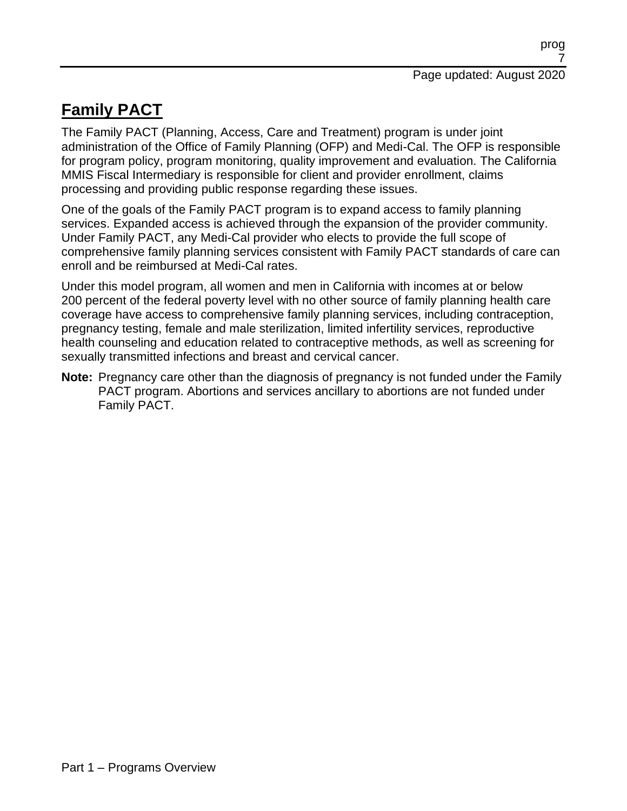## **Family PACT**

The Family PACT (Planning, Access, Care and Treatment) program is under joint administration of the Office of Family Planning (OFP) and Medi-Cal. The OFP is responsible for program policy, program monitoring, quality improvement and evaluation. The California MMIS Fiscal Intermediary is responsible for client and provider enrollment, claims processing and providing public response regarding these issues.

One of the goals of the Family PACT program is to expand access to family planning services. Expanded access is achieved through the expansion of the provider community. Under Family PACT, any Medi-Cal provider who elects to provide the full scope of comprehensive family planning services consistent with Family PACT standards of care can enroll and be reimbursed at Medi-Cal rates.

Under this model program, all women and men in California with incomes at or below 200 percent of the federal poverty level with no other source of family planning health care coverage have access to comprehensive family planning services, including contraception, pregnancy testing, female and male sterilization, limited infertility services, reproductive health counseling and education related to contraceptive methods, as well as screening for sexually transmitted infections and breast and cervical cancer.

**Note:** Pregnancy care other than the diagnosis of pregnancy is not funded under the Family PACT program. Abortions and services ancillary to abortions are not funded under Family PACT.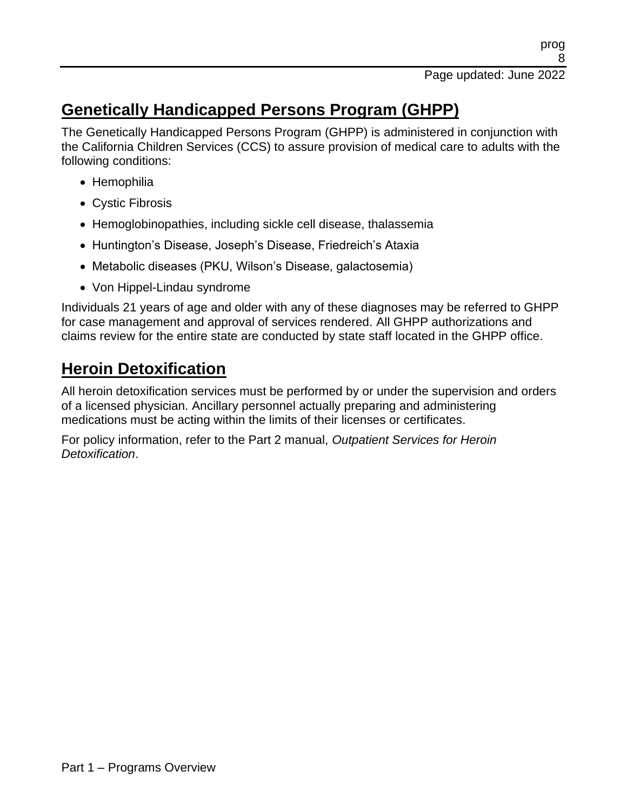## **Genetically Handicapped Persons Program (GHPP)**

The Genetically Handicapped Persons Program (GHPP) is administered in conjunction with the California Children Services (CCS) to assure provision of medical care to adults with the following conditions:

- Hemophilia
- Cystic Fibrosis
- Hemoglobinopathies, including sickle cell disease, thalassemia
- Huntington's Disease, Joseph's Disease, Friedreich's Ataxia
- Metabolic diseases (PKU, Wilson's Disease, galactosemia)
- Von Hippel-Lindau syndrome

Individuals 21 years of age and older with any of these diagnoses may be referred to GHPP for case management and approval of services rendered. All GHPP authorizations and claims review for the entire state are conducted by state staff located in the GHPP office.

#### **Heroin Detoxification**

All heroin detoxification services must be performed by or under the supervision and orders of a licensed physician. Ancillary personnel actually preparing and administering medications must be acting within the limits of their licenses or certificates.

For policy information, refer to the Part 2 manual, *Outpatient Services for Heroin Detoxification*.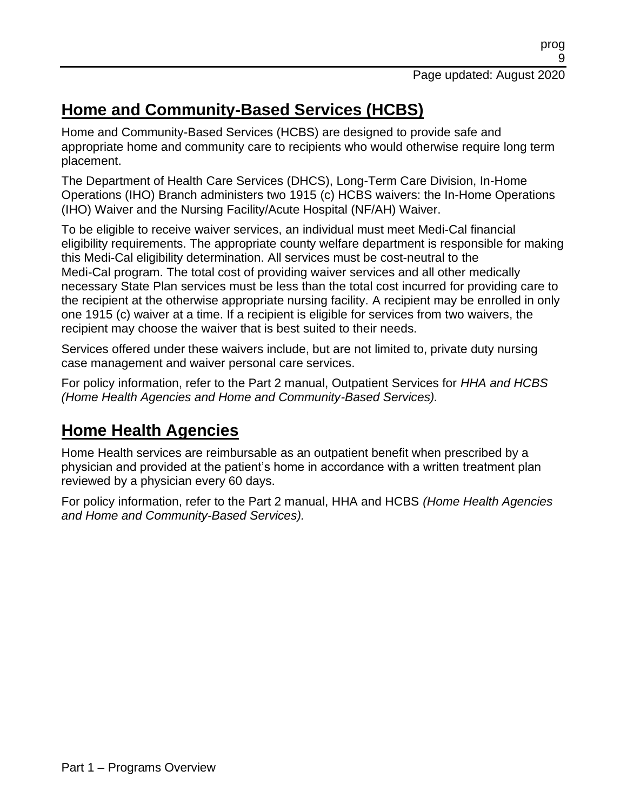## **Home and Community-Based Services (HCBS)**

Home and Community-Based Services (HCBS) are designed to provide safe and appropriate home and community care to recipients who would otherwise require long term placement.

The Department of Health Care Services (DHCS), Long-Term Care Division, In-Home Operations (IHO) Branch administers two 1915 (c) HCBS waivers: the In-Home Operations (IHO) Waiver and the Nursing Facility/Acute Hospital (NF/AH) Waiver.

To be eligible to receive waiver services, an individual must meet Medi-Cal financial eligibility requirements. The appropriate county welfare department is responsible for making this Medi-Cal eligibility determination. All services must be cost-neutral to the Medi-Cal program. The total cost of providing waiver services and all other medically necessary State Plan services must be less than the total cost incurred for providing care to the recipient at the otherwise appropriate nursing facility. A recipient may be enrolled in only one 1915 (c) waiver at a time. If a recipient is eligible for services from two waivers, the recipient may choose the waiver that is best suited to their needs.

Services offered under these waivers include, but are not limited to, private duty nursing case management and waiver personal care services.

For policy information, refer to the Part 2 manual, Outpatient Services for *HHA and HCBS (Home Health Agencies and Home and Community-Based Services).*

#### **Home Health Agencies**

Home Health services are reimbursable as an outpatient benefit when prescribed by a physician and provided at the patient's home in accordance with a written treatment plan reviewed by a physician every 60 days.

For policy information, refer to the Part 2 manual, HHA and HCBS *(Home Health Agencies and Home and Community-Based Services).*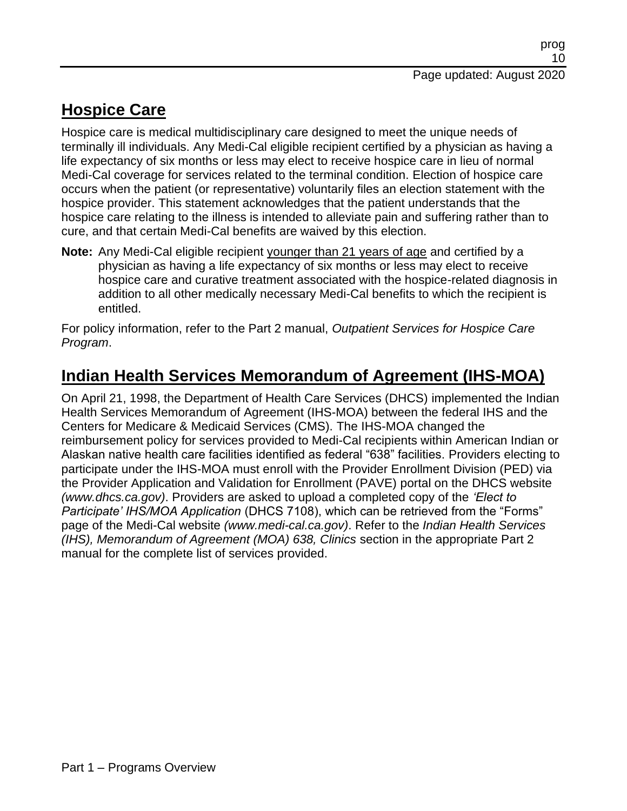## **Hospice Care**

Hospice care is medical multidisciplinary care designed to meet the unique needs of terminally ill individuals. Any Medi-Cal eligible recipient certified by a physician as having a life expectancy of six months or less may elect to receive hospice care in lieu of normal Medi-Cal coverage for services related to the terminal condition. Election of hospice care occurs when the patient (or representative) voluntarily files an election statement with the hospice provider. This statement acknowledges that the patient understands that the hospice care relating to the illness is intended to alleviate pain and suffering rather than to cure, and that certain Medi-Cal benefits are waived by this election.

**Note:** Any Medi-Cal eligible recipient younger than 21 years of age and certified by a physician as having a life expectancy of six months or less may elect to receive hospice care and curative treatment associated with the hospice-related diagnosis in addition to all other medically necessary Medi-Cal benefits to which the recipient is entitled.

For policy information, refer to the Part 2 manual, *Outpatient Services for Hospice Care Program*.

#### **Indian Health Services Memorandum of Agreement (IHS-MOA)**

On April 21, 1998, the Department of Health Care Services (DHCS) implemented the Indian Health Services Memorandum of Agreement (IHS-MOA) between the federal IHS and the Centers for Medicare & Medicaid Services (CMS). The IHS-MOA changed the reimbursement policy for services provided to Medi-Cal recipients within American Indian or Alaskan native health care facilities identified as federal "638" facilities. Providers electing to participate under the IHS-MOA must enroll with the Provider Enrollment Division (PED) via the Provider Application and Validation for Enrollment (PAVE) portal on the DHCS website *(www.dhcs.ca.gov)*. Providers are asked to upload a completed copy of the *'Elect to Participate' IHS/MOA Application* (DHCS 7108), which can be retrieved from the "Forms" page of the Medi-Cal website *(www.medi-cal.ca.gov)*. Refer to the *Indian Health Services (IHS), Memorandum of Agreement (MOA) 638, Clinics* section in the appropriate Part 2 manual for the complete list of services provided.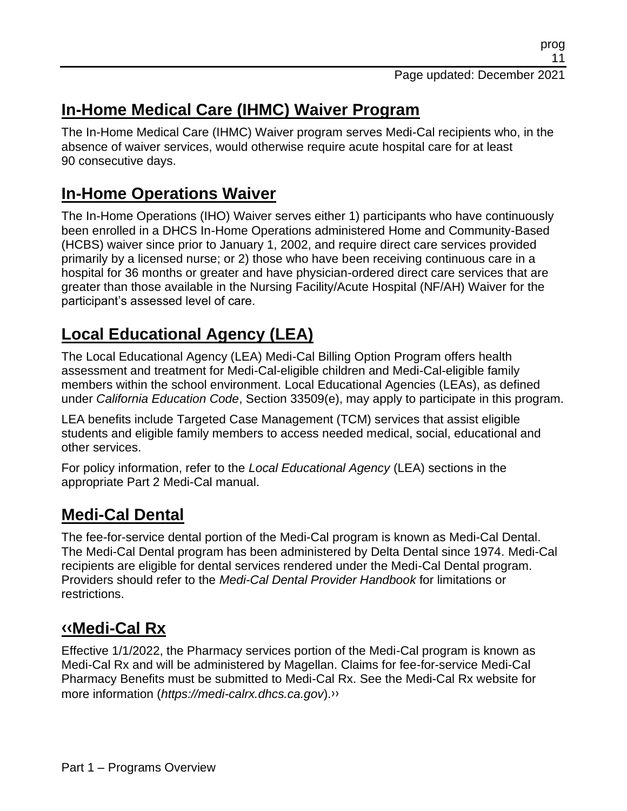#### **In-Home Medical Care (IHMC) Waiver Program**

The In-Home Medical Care (IHMC) Waiver program serves Medi-Cal recipients who, in the absence of waiver services, would otherwise require acute hospital care for at least 90 consecutive days.

#### **In-Home Operations Waiver**

The In-Home Operations (IHO) Waiver serves either 1) participants who have continuously been enrolled in a DHCS In-Home Operations administered Home and Community-Based (HCBS) waiver since prior to January 1, 2002, and require direct care services provided primarily by a licensed nurse; or 2) those who have been receiving continuous care in a hospital for 36 months or greater and have physician-ordered direct care services that are greater than those available in the Nursing Facility/Acute Hospital (NF/AH) Waiver for the participant's assessed level of care.

## **Local Educational Agency (LEA)**

The Local Educational Agency (LEA) Medi-Cal Billing Option Program offers health assessment and treatment for Medi-Cal-eligible children and Medi-Cal-eligible family members within the school environment. Local Educational Agencies (LEAs), as defined under *California Education Code*, Section 33509(e), may apply to participate in this program.

LEA benefits include Targeted Case Management (TCM) services that assist eligible students and eligible family members to access needed medical, social, educational and other services.

For policy information, refer to the *Local Educational Agency* (LEA) sections in the appropriate Part 2 Medi-Cal manual.

#### **Medi-Cal Dental**

The fee-for-service dental portion of the Medi-Cal program is known as Medi-Cal Dental. The Medi-Cal Dental program has been administered by Delta Dental since 1974. Medi-Cal recipients are eligible for dental services rendered under the Medi-Cal Dental program. Providers should refer to the *Medi-Cal Dental Provider Handbook* for limitations or restrictions.

## **[‹‹M](#page-15-1)edi-Cal Rx**

Effective 1/1/2022, the Pharmacy services portion of the Medi-Cal program is known as Medi-Cal Rx and will be administered by Magellan. Claims for fee-for-service Medi-Cal Pharmacy Benefits must be submitted to Medi-Cal Rx. See the Medi-Cal Rx website for more information (*https://medi-calrx.dhcs.ca.gov*)[.››](#page-15-2)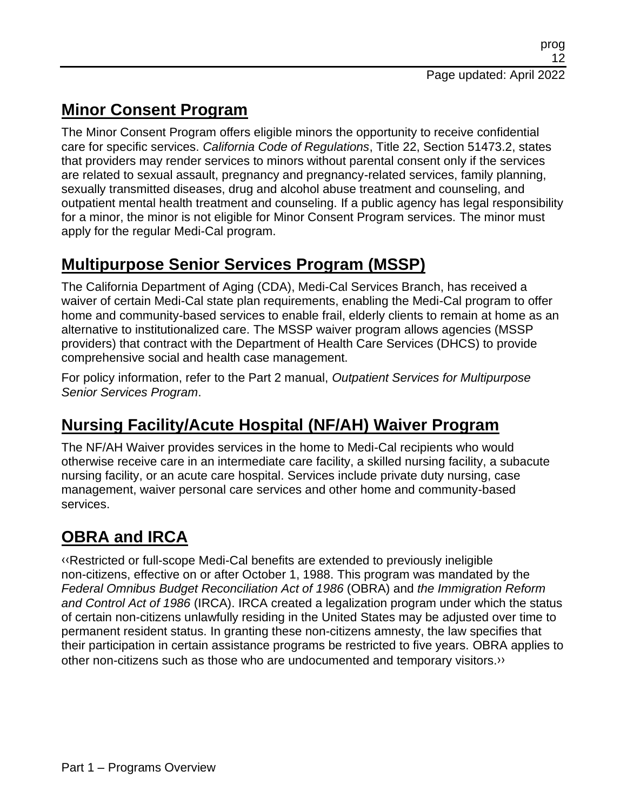## **Minor Consent Program**

The Minor Consent Program offers eligible minors the opportunity to receive confidential care for specific services. *California Code of Regulations*, Title 22, Section 51473.2, states that providers may render services to minors without parental consent only if the services are related to sexual assault, pregnancy and pregnancy-related services, family planning, sexually transmitted diseases, drug and alcohol abuse treatment and counseling, and outpatient mental health treatment and counseling. If a public agency has legal responsibility for a minor, the minor is not eligible for Minor Consent Program services. The minor must apply for the regular Medi-Cal program.

## **Multipurpose Senior Services Program (MSSP)**

The California Department of Aging (CDA), Medi-Cal Services Branch, has received a waiver of certain Medi-Cal state plan requirements, enabling the Medi-Cal program to offer home and community-based services to enable frail, elderly clients to remain at home as an alternative to institutionalized care. The MSSP waiver program allows agencies (MSSP providers) that contract with the Department of Health Care Services (DHCS) to provide comprehensive social and health case management.

For policy information, refer to the Part 2 manual, *Outpatient Services for Multipurpose Senior Services Program*.

## **Nursing Facility/Acute Hospital (NF/AH) Waiver Program**

The NF/AH Waiver provides services in the home to Medi-Cal recipients who would otherwise receive care in an intermediate care facility, a skilled nursing facility, a subacute nursing facility, or an acute care hospital. Services include private duty nursing, case management, waiver personal care services and other home and community-based services.

## **OBRA and IRCA**

[‹‹R](#page-15-1)estricted or full-scope Medi-Cal benefits are extended to previously ineligible non-citizens, effective on or after October 1, 1988. This program was mandated by the *Federal Omnibus Budget Reconciliation Act of 1986* (OBRA) and *the Immigration Reform and Control Act of 1986* (IRCA). IRCA created a legalization program under which the status of certain non-citizens unlawfully residing in the United States may be adjusted over time to permanent resident status. In granting these non-citizens amnesty, the law specifies that their participation in certain assistance programs be restricted to five years. OBRA applies to other non-citizens such as those who are undocumented and temporary visitors[.››](#page-15-2)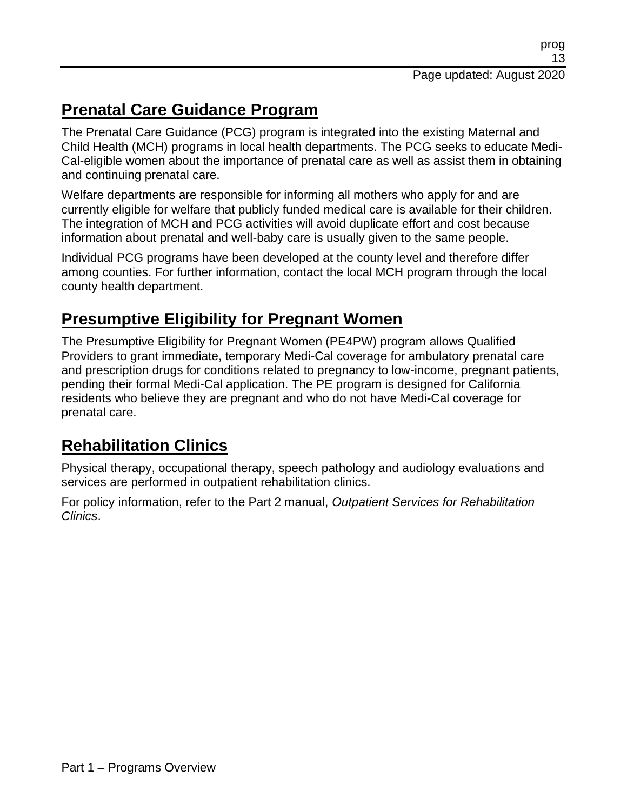#### **Prenatal Care Guidance Program**

The Prenatal Care Guidance (PCG) program is integrated into the existing Maternal and Child Health (MCH) programs in local health departments. The PCG seeks to educate Medi-Cal-eligible women about the importance of prenatal care as well as assist them in obtaining and continuing prenatal care.

Welfare departments are responsible for informing all mothers who apply for and are currently eligible for welfare that publicly funded medical care is available for their children. The integration of MCH and PCG activities will avoid duplicate effort and cost because information about prenatal and well-baby care is usually given to the same people.

Individual PCG programs have been developed at the county level and therefore differ among counties. For further information, contact the local MCH program through the local county health department.

#### **Presumptive Eligibility for Pregnant Women**

The Presumptive Eligibility for Pregnant Women (PE4PW) program allows Qualified Providers to grant immediate, temporary Medi-Cal coverage for ambulatory prenatal care and prescription drugs for conditions related to pregnancy to low-income, pregnant patients, pending their formal Medi-Cal application. The PE program is designed for California residents who believe they are pregnant and who do not have Medi-Cal coverage for prenatal care.

## **Rehabilitation Clinics**

Physical therapy, occupational therapy, speech pathology and audiology evaluations and services are performed in outpatient rehabilitation clinics.

For policy information, refer to the Part 2 manual, *Outpatient Services for Rehabilitation Clinics*.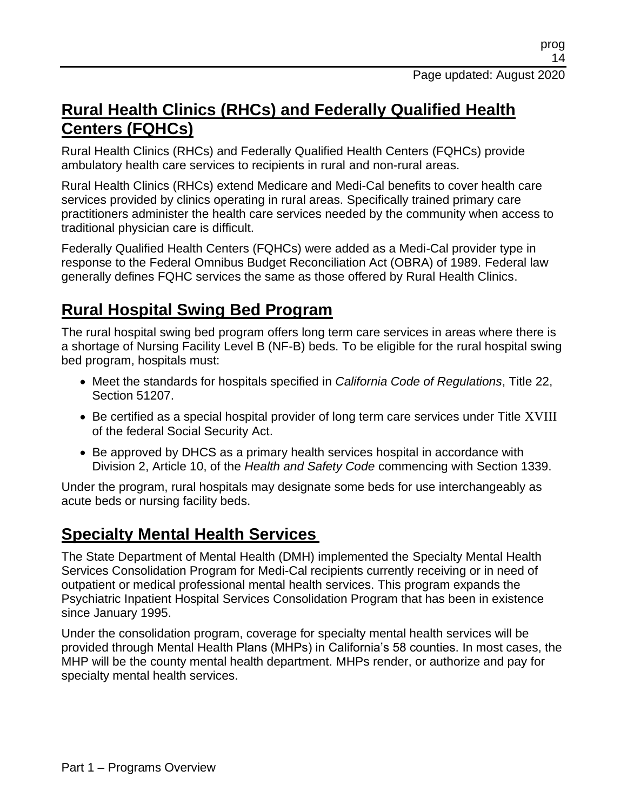#### **Rural Health Clinics (RHCs) and Federally Qualified Health Centers (FQHCs)**

Rural Health Clinics (RHCs) and Federally Qualified Health Centers (FQHCs) provide ambulatory health care services to recipients in rural and non-rural areas.

Rural Health Clinics (RHCs) extend Medicare and Medi-Cal benefits to cover health care services provided by clinics operating in rural areas. Specifically trained primary care practitioners administer the health care services needed by the community when access to traditional physician care is difficult.

Federally Qualified Health Centers (FQHCs) were added as a Medi-Cal provider type in response to the Federal Omnibus Budget Reconciliation Act (OBRA) of 1989. Federal law generally defines FQHC services the same as those offered by Rural Health Clinics.

#### **Rural Hospital Swing Bed Program**

The rural hospital swing bed program offers long term care services in areas where there is a shortage of Nursing Facility Level B (NF-B) beds. To be eligible for the rural hospital swing bed program, hospitals must:

- Meet the standards for hospitals specified in *California Code of Regulations*, Title 22, Section 51207.
- Be certified as a special hospital provider of long term care services under Title XVIII of the federal Social Security Act.
- Be approved by DHCS as a primary health services hospital in accordance with Division 2, Article 10, of the *Health and Safety Code* commencing with Section 1339.

Under the program, rural hospitals may designate some beds for use interchangeably as acute beds or nursing facility beds.

#### **Specialty Mental Health Services**

The State Department of Mental Health (DMH) implemented the Specialty Mental Health Services Consolidation Program for Medi-Cal recipients currently receiving or in need of outpatient or medical professional mental health services. This program expands the Psychiatric Inpatient Hospital Services Consolidation Program that has been in existence since January 1995.

Under the consolidation program, coverage for specialty mental health services will be provided through Mental Health Plans (MHPs) in California's 58 counties. In most cases, the MHP will be the county mental health department. MHPs render, or authorize and pay for specialty mental health services.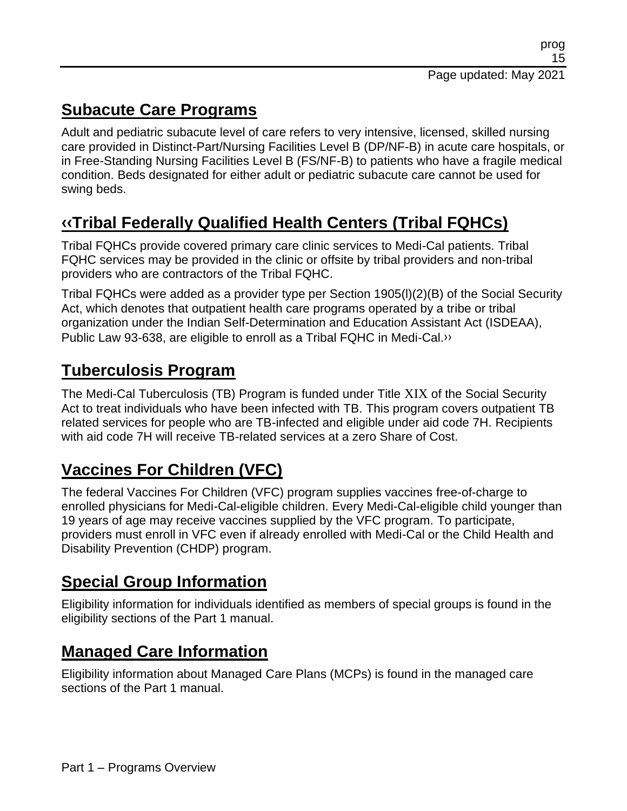#### **Subacute Care Programs**

Adult and pediatric subacute level of care refers to very intensive, licensed, skilled nursing care provided in Distinct-Part/Nursing Facilities Level B (DP/NF-B) in acute care hospitals, or in Free-Standing Nursing Facilities Level B (FS/NF-B) to patients who have a fragile medical condition. Beds designated for either adult or pediatric subacute care cannot be used for swing beds.

# **[‹‹T](#page-15-1)ribal Federally Qualified Health Centers (Tribal FQHCs)**

Tribal FQHCs provide covered primary care clinic services to Medi-Cal patients. Tribal FQHC services may be provided in the clinic or offsite by tribal providers and non-tribal providers who are contractors of the Tribal FQHC.

Tribal FQHCs were added as a provider type per Section 1905(l)(2)(B) of the Social Security Act, which denotes that outpatient health care programs operated by a tribe or tribal organization under the Indian Self-Determination and Education Assistant Act (ISDEAA), Public Law 93-638, are eligible to enroll as a Tribal FQHC in Medi-Cal[.››](#page-15-2)

#### **Tuberculosis Program**

The Medi-Cal Tuberculosis (TB) Program is funded under Title XIX of the Social Security Act to treat individuals who have been infected with TB. This program covers outpatient TB related services for people who are TB-infected and eligible under aid code 7H. Recipients with aid code 7H will receive TB-related services at a zero Share of Cost.

## **Vaccines For Children (VFC)**

The federal Vaccines For Children (VFC) program supplies vaccines free-of-charge to enrolled physicians for Medi-Cal-eligible children. Every Medi-Cal-eligible child younger than 19 years of age may receive vaccines supplied by the VFC program. To participate, providers must enroll in VFC even if already enrolled with Medi-Cal or the Child Health and Disability Prevention (CHDP) program.

#### **Special Group Information**

Eligibility information for individuals identified as members of special groups is found in the eligibility sections of the Part 1 manual.

#### **Managed Care Information**

Eligibility information about Managed Care Plans (MCPs) is found in the managed care sections of the Part 1 manual.